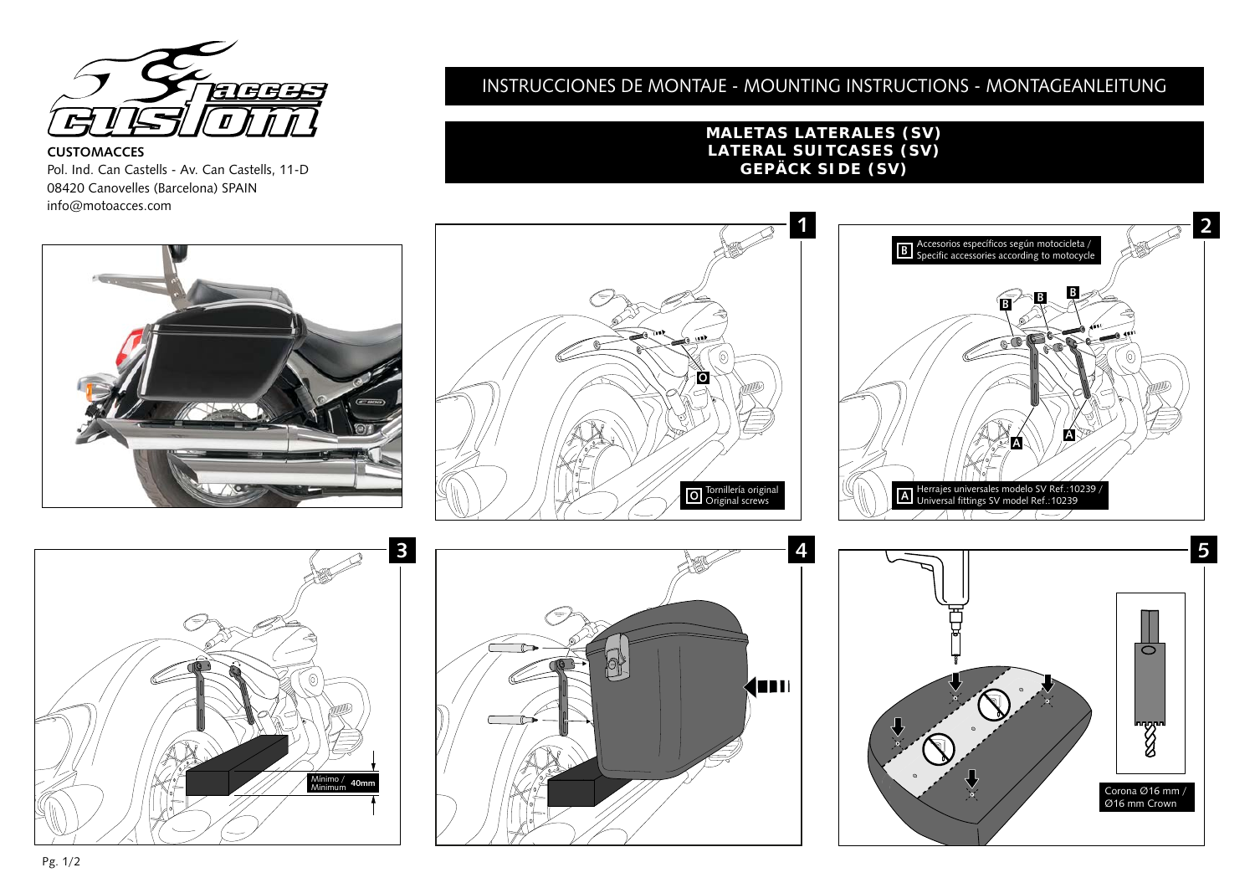

**CUSTOMACCES**  Pol. Ind. Can Castells - Av. Can Castells, 11-D 08420 Canovelles (Barcelona) SPAIN info@motoacces.com

# INSTRUCCIONES DE MONTAJE - MOUNTING INSTRUCTIONS - MONTAGEANLEITUNG

### **MALETAS LATERALES (SV) LATERAL SUITCASES (SV) GEPÄCK SIDE (SV)**